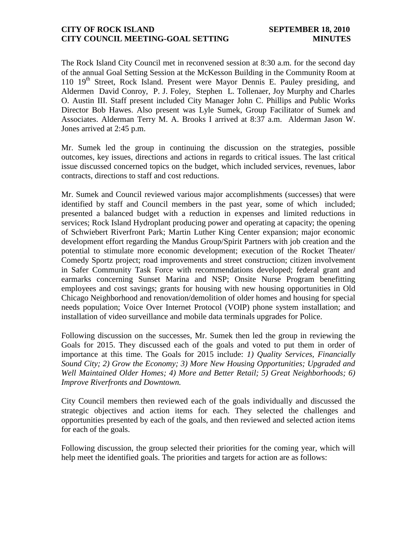#### **CITY OF ROCK ISLAND SEPTEMBER 18, 2010 CITY COUNCIL MEETING-GOAL SETTING MINUTES**

The Rock Island City Council met in reconvened session at 8:30 a.m. for the second day of the annual Goal Setting Session at the McKesson Building in the Community Room at 110 19<sup>th</sup> Street, Rock Island. Present were Mayor Dennis E. Pauley presiding, and Aldermen David Conroy, P. J. Foley, Stephen L. Tollenaer, Joy Murphy and Charles O. Austin III. Staff present included City Manager John C. Phillips and Public Works Director Bob Hawes. Also present was Lyle Sumek, Group Facilitator of Sumek and Associates. Alderman Terry M. A. Brooks I arrived at 8:37 a.m. Alderman Jason W. Jones arrived at 2:45 p.m.

Mr. Sumek led the group in continuing the discussion on the strategies, possible outcomes, key issues, directions and actions in regards to critical issues. The last critical issue discussed concerned topics on the budget, which included services, revenues, labor contracts, directions to staff and cost reductions.

Mr. Sumek and Council reviewed various major accomplishments (successes) that were identified by staff and Council members in the past year, some of which included; presented a balanced budget with a reduction in expenses and limited reductions in services; Rock Island Hydroplant producing power and operating at capacity; the opening of Schwiebert Riverfront Park; Martin Luther King Center expansion; major economic development effort regarding the Mandus Group/Spirit Partners with job creation and the potential to stimulate more economic development; execution of the Rocket Theater/ Comedy Sportz project; road improvements and street construction; citizen involvement in Safer Community Task Force with recommendations developed; federal grant and earmarks concerning Sunset Marina and NSP; Onsite Nurse Program benefitting employees and cost savings; grants for housing with new housing opportunities in Old Chicago Neighborhood and renovation/demolition of older homes and housing for special needs population; Voice Over Internet Protocol (VOIP) phone system installation; and installation of video surveillance and mobile data terminals upgrades for Police.

Following discussion on the successes, Mr. Sumek then led the group in reviewing the Goals for 2015. They discussed each of the goals and voted to put them in order of importance at this time. The Goals for 2015 include: *1) Quality Services, Financially Sound City; 2) Grow the Economy; 3) More New Housing Opportunities; Upgraded and Well Maintained Older Homes; 4) More and Better Retail; 5) Great Neighborhoods; 6) Improve Riverfronts and Downtown.*

City Council members then reviewed each of the goals individually and discussed the strategic objectives and action items for each. They selected the challenges and opportunities presented by each of the goals, and then reviewed and selected action items for each of the goals.

Following discussion, the group selected their priorities for the coming year, which will help meet the identified goals. The priorities and targets for action are as follows: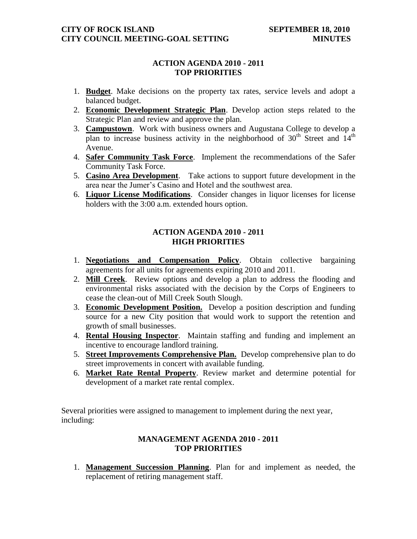# **ACTION AGENDA 2010 - 2011 TOP PRIORITIES**

- 1. **Budget**. Make decisions on the property tax rates, service levels and adopt a balanced budget.
- 2. **Economic Development Strategic Plan**. Develop action steps related to the Strategic Plan and review and approve the plan.
- 3. **Campustown**. Work with business owners and Augustana College to develop a plan to increase business activity in the neighborhood of  $30<sup>th</sup>$  Street and  $14<sup>th</sup>$ Avenue.
- 4. **Safer Community Task Force**. Implement the recommendations of the Safer Community Task Force.
- 5. **Casino Area Development**. Take actions to support future development in the area near the Jumer's Casino and Hotel and the southwest area.
- 6. **Liquor License Modifications**. Consider changes in liquor licenses for license holders with the 3:00 a.m. extended hours option.

# **ACTION AGENDA 2010 - 2011 HIGH PRIORITIES**

- 1. **Negotiations and Compensation Policy**. Obtain collective bargaining agreements for all units for agreements expiring 2010 and 2011.
- 2. **Mill Creek**. Review options and develop a plan to address the flooding and environmental risks associated with the decision by the Corps of Engineers to cease the clean-out of Mill Creek South Slough.
- 3. **Economic Development Position.** Develop a position description and funding source for a new City position that would work to support the retention and growth of small businesses.
- 4. **Rental Housing Inspector**. Maintain staffing and funding and implement an incentive to encourage landlord training.
- 5. **Street Improvements Comprehensive Plan.** Develop comprehensive plan to do street improvements in concert with available funding.
- 6. **Market Rate Rental Property**. Review market and determine potential for development of a market rate rental complex.

Several priorities were assigned to management to implement during the next year, including:

## **MANAGEMENT AGENDA 2010 - 2011 TOP PRIORITIES**

1. **Management Succession Planning**. Plan for and implement as needed, the replacement of retiring management staff.